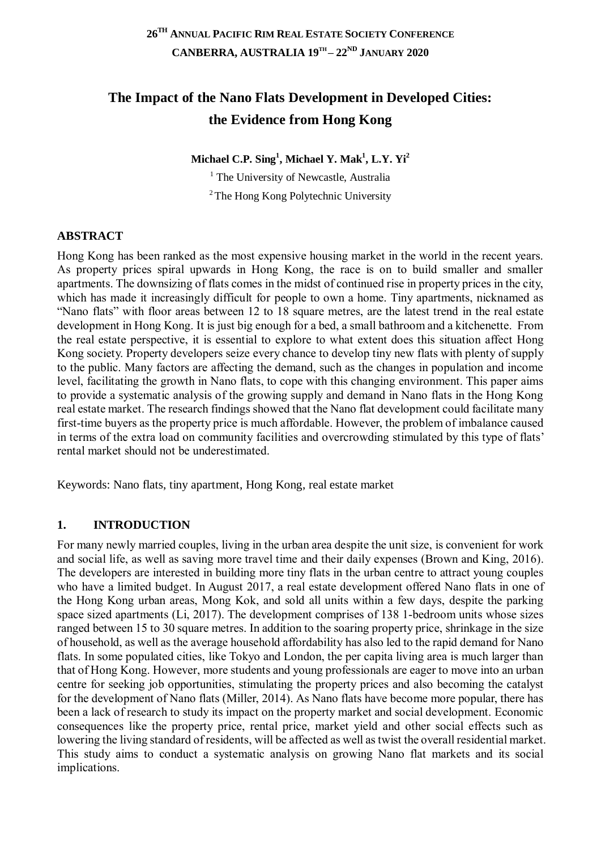# **The Impact of the Nano Flats Development in Developed Cities: the Evidence from Hong Kong**

**Michael C.P. Sing<sup>1</sup> , Michael Y. Mak<sup>1</sup> , L.Y. Yi<sup>2</sup>**

<sup>1</sup> The University of Newcastle, Australia <sup>2</sup>The Hong Kong Polytechnic University

### **ABSTRACT**

Hong Kong has been ranked as the most expensive housing market in the world in the recent years. As property prices spiral upwards in Hong Kong, the race is on to build smaller and smaller apartments. The downsizing of flats comes in the midst of continued rise in property prices in the city, which has made it increasingly difficult for people to own a home. Tiny apartments, nicknamed as "Nano flats" with floor areas between 12 to 18 square metres, are the latest trend in the real estate development in Hong Kong. It is just big enough for a bed, a small bathroom and a kitchenette. From the real estate perspective, it is essential to explore to what extent does this situation affect Hong Kong society. Property developers seize every chance to develop tiny new flats with plenty of supply to the public. Many factors are affecting the demand, such as the changes in population and income level, facilitating the growth in Nano flats, to cope with this changing environment. This paper aims to provide a systematic analysis of the growing supply and demand in Nano flats in the Hong Kong real estate market. The research findings showed that the Nano flat development could facilitate many first-time buyers as the property price is much affordable. However, the problem of imbalance caused in terms of the extra load on community facilities and overcrowding stimulated by this type of flats' rental market should not be underestimated.

Keywords: Nano flats, tiny apartment, Hong Kong, real estate market

### **1. INTRODUCTION**

For many newly married couples, living in the urban area despite the unit size, is convenient for work and social life, as well as saving more travel time and their daily expenses (Brown and King, 2016). The developers are interested in building more tiny flats in the urban centre to attract young couples who have a limited budget. In August 2017, a real estate development offered Nano flats in one of the Hong Kong urban areas, Mong Kok, and sold all units within a few days, despite the parking space sized apartments (Li, 2017). The development comprises of 138 1-bedroom units whose sizes ranged between 15 to 30 square metres. In addition to the soaring property price, shrinkage in the size of household, as well as the average household affordability has also led to the rapid demand for Nano flats. In some populated cities, like Tokyo and London, the per capita living area is much larger than that of Hong Kong. However, more students and young professionals are eager to move into an urban centre for seeking job opportunities, stimulating the property prices and also becoming the catalyst for the development of Nano flats (Miller, 2014). As Nano flats have become more popular, there has been a lack of research to study its impact on the property market and social development. Economic consequences like the property price, rental price, market yield and other social effects such as lowering the living standard of residents, will be affected as well as twist the overall residential market. This study aims to conduct a systematic analysis on growing Nano flat markets and its social implications.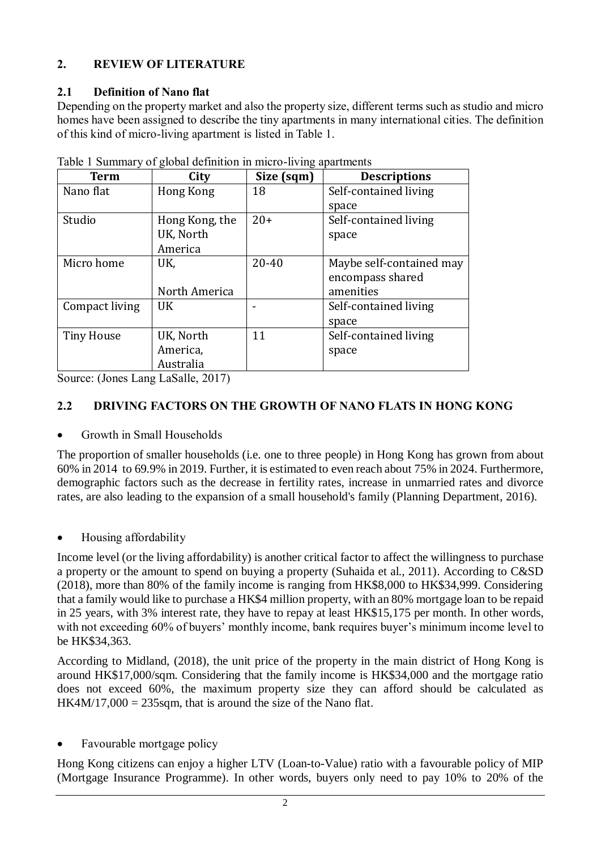# **2. REVIEW OF LITERATURE**

### **2.1 Definition of Nano flat**

Depending on the property market and also the property size, different terms such as studio and micro homes have been assigned to describe the tiny apartments in many international cities. The definition of this kind of micro-living apartment is listed in [Table 1.](#page-1-0)

| Term              | City           | Size (sqm) | <b>Descriptions</b>      |
|-------------------|----------------|------------|--------------------------|
| Nano flat         | Hong Kong      | 18         | Self-contained living    |
|                   |                |            | space                    |
| Studio            | Hong Kong, the | $20+$      | Self-contained living    |
|                   | UK, North      |            | space                    |
|                   | America        |            |                          |
| Micro home        | UK.            | $20 - 40$  | Maybe self-contained may |
|                   |                |            | encompass shared         |
|                   | North America  |            | amenities                |
| Compact living    | UK             |            | Self-contained living    |
|                   |                |            | space                    |
| <b>Tiny House</b> | UK, North      | 11         | Self-contained living    |
|                   | America,       |            | space                    |
|                   | Australia      |            |                          |

<span id="page-1-0"></span>Table 1 Summary of global definition in micro-living apartments

Source: (Jones Lang LaSalle, 2017)

# **2.2 DRIVING FACTORS ON THE GROWTH OF NANO FLATS IN HONG KONG**

### Growth in Small Households

The proportion of smaller households (i.e. one to three people) in Hong Kong has grown from about 60% in 2014 to 69.9% in 2019. Further, it is estimated to even reach about 75% in 2024. Furthermore, demographic factors such as the decrease in fertility rates, increase in unmarried rates and divorce rates, are also leading to the expansion of a small household's family (Planning Department, 2016).

### Housing affordability

Income level (or the living affordability) is another critical factor to affect the willingness to purchase a property or the amount to spend on buying a property (Suhaida et al., 2011). According to C&SD (2018), more than 80% of the family income is ranging from HK\$8,000 to HK\$34,999. Considering that a family would like to purchase a HK\$4 million property, with an 80% mortgage loan to be repaid in 25 years, with 3% interest rate, they have to repay at least HK\$15,175 per month. In other words, with not exceeding 60% of buyers' monthly income, bank requires buyer's minimum income level to be HK\$34,363.

According to Midland, (2018), the unit price of the property in the main district of Hong Kong is around HK\$17,000/sqm. Considering that the family income is HK\$34,000 and the mortgage ratio does not exceed 60%, the maximum property size they can afford should be calculated as  $HK4M/17,000 = 235$ sqm, that is around the size of the Nano flat.

• Favourable mortgage policy

Hong Kong citizens can enjoy a higher LTV (Loan-to-Value) ratio with a favourable policy of MIP (Mortgage Insurance Programme). In other words, buyers only need to pay 10% to 20% of the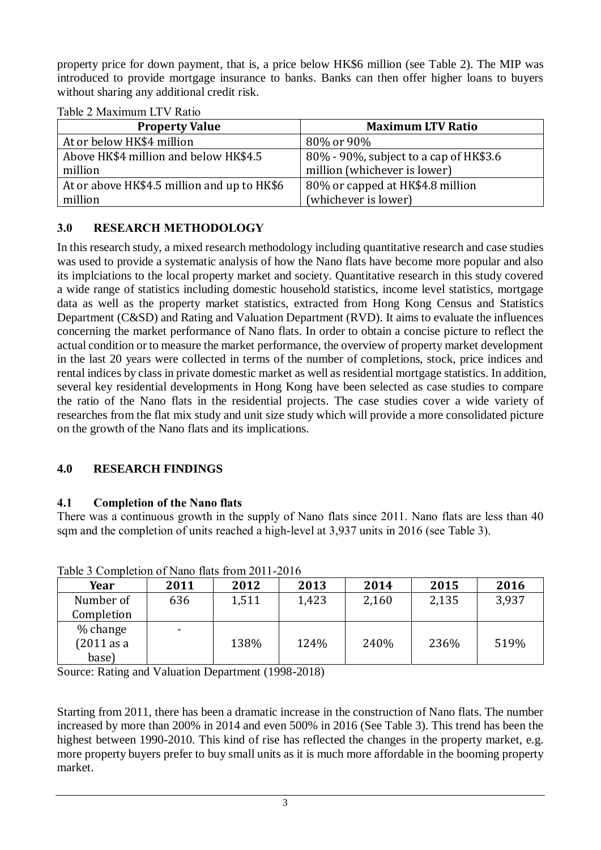property price for down payment, that is, a price below HK\$6 million (see [Table 2\)](#page-2-0). The MIP was introduced to provide mortgage insurance to banks. Banks can then offer higher loans to buyers without sharing any additional credit risk.

| <b>Property Value</b>                       | <b>Maximum LTV Ratio</b>               |  |  |  |
|---------------------------------------------|----------------------------------------|--|--|--|
| At or below HK\$4 million                   | 80% or 90%                             |  |  |  |
| Above HK\$4 million and below HK\$4.5       | 80% - 90%, subject to a cap of HK\$3.6 |  |  |  |
| million                                     | million (whichever is lower)           |  |  |  |
| At or above HK\$4.5 million and up to HK\$6 | 80% or capped at HK\$4.8 million       |  |  |  |
| million                                     | (whichever is lower)                   |  |  |  |

<span id="page-2-0"></span>Table 2 Maximum LTV Ratio

### **3.0 RESEARCH METHODOLOGY**

In this research study, a mixed research methodology including quantitative research and case studies was used to provide a systematic analysis of how the Nano flats have become more popular and also its implciations to the local property market and society. Quantitative research in this study covered a wide range of statistics including domestic household statistics, income level statistics, mortgage data as well as the property market statistics, extracted from Hong Kong Census and Statistics Department (C&SD) and Rating and Valuation Department (RVD). It aims to evaluate the influences concerning the market performance of Nano flats. In order to obtain a concise picture to reflect the actual condition or to measure the market performance, the overview of property market development in the last 20 years were collected in terms of the number of completions, stock, price indices and rental indices by class in private domestic market as well as residential mortgage statistics. In addition, several key residential developments in Hong Kong have been selected as case studies to compare the ratio of the Nano flats in the residential projects. The case studies cover a wide variety of researches from the flat mix study and unit size study which will provide a more consolidated picture on the growth of the Nano flats and its implications.

### **4.0 RESEARCH FINDINGS**

### **4.1 Completion of the Nano flats**

There was a continuous growth in the supply of Nano flats since 2011. Nano flats are less than 40 sqm and the completion of units reached a high-level at 3,937 units in 2016 (see [Table 3\)](#page-2-1).

| Year       | 2011 | 2012  | 2013  | 2014  | 2015  | 2016  |
|------------|------|-------|-------|-------|-------|-------|
| Number of  | 636  | 1,511 | 1,423 | 2,160 | 2,135 | 3,937 |
| Completion |      |       |       |       |       |       |
| % change   |      |       |       |       |       |       |
| (2011 as a |      | 138%  | 124%  | 240%  | 236%  | 519%  |
| base)      |      |       |       |       |       |       |

<span id="page-2-1"></span>Table 3 Completion of Nano flats from 2011-2016

Source: Rating and Valuation Department (1998-2018)

Starting from 2011, there has been a dramatic increase in the construction of Nano flats. The number increased by more than 200% in 2014 and even 500% in 2016 (See [Table 3\)](#page-2-1). This trend has been the highest between 1990-2010. This kind of rise has reflected the changes in the property market, e.g. more property buyers prefer to buy small units as it is much more affordable in the booming property market.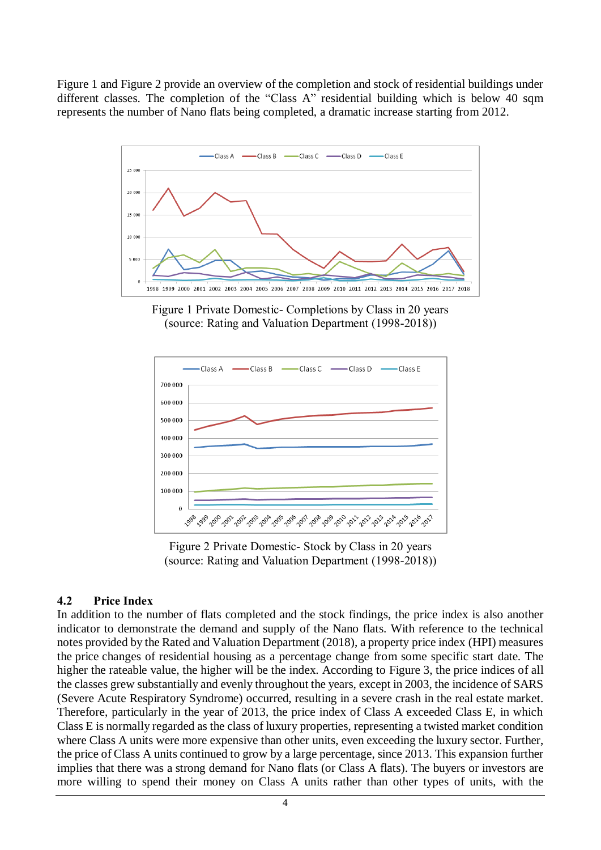[Figure 1](#page-3-0) and [Figure 2](#page-3-1) provide an overview of the completion and stock of residential buildings under different classes. The completion of the "Class A" residential building which is below 40 sqm represents the number of Nano flats being completed, a dramatic increase starting from 2012.



<span id="page-3-0"></span>Figure 1 Private Domestic- Completions by Class in 20 years (source: Rating and Valuation Department (1998-2018))



Figure 2 Private Domestic- Stock by Class in 20 years (source: Rating and Valuation Department (1998-2018))

### <span id="page-3-1"></span>**4.2 Price Index**

In addition to the number of flats completed and the stock findings, the price index is also another indicator to demonstrate the demand and supply of the Nano flats. With reference to the technical notes provided by the Rated and Valuation Department (2018), a property price index (HPI) measures the price changes of residential housing as a percentage change from some specific start date. The higher the rateable value, the higher will be the index. According to [Figure 3,](#page-4-0) the price indices of all the classes grew substantially and evenly throughout the years, except in 2003, the incidence of SARS (Severe Acute Respiratory Syndrome) occurred, resulting in a severe crash in the real estate market. Therefore, particularly in the year of 2013, the price index of Class A exceeded Class E, in which Class E is normally regarded as the class of luxury properties, representing a twisted market condition where Class A units were more expensive than other units, even exceeding the luxury sector. Further, the price of Class A units continued to grow by a large percentage, since 2013. This expansion further implies that there was a strong demand for Nano flats (or Class A flats). The buyers or investors are more willing to spend their money on Class A units rather than other types of units, with the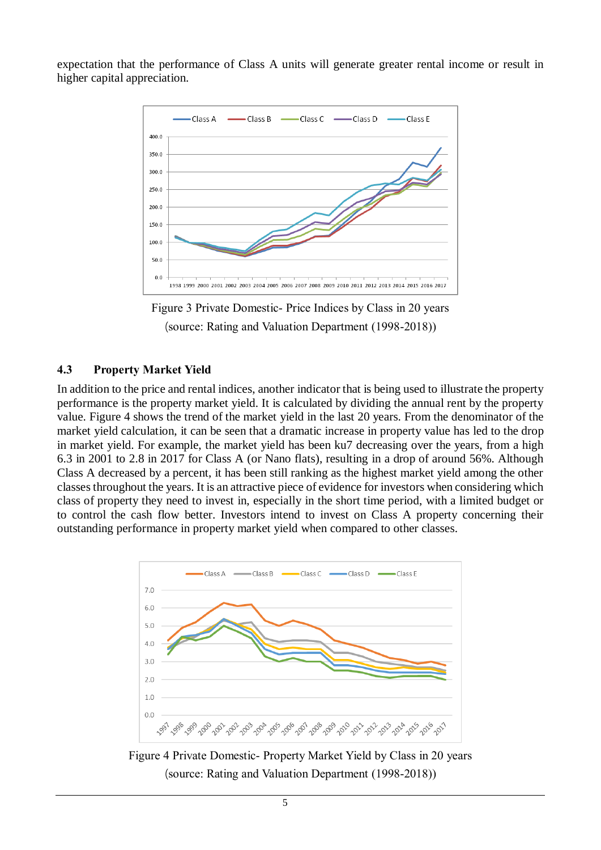expectation that the performance of Class A units will generate greater rental income or result in higher capital appreciation.



Figure 3 Private Domestic- Price Indices by Class in 20 years (source: Rating and Valuation Department (1998-2018))

#### <span id="page-4-0"></span>**4.3 Property Market Yield**

In addition to the price and rental indices, another indicator that is being used to illustrate the property performance is the property market yield. It is calculated by dividing the annual rent by the property value. [Figure 4](#page-4-1) shows the trend of the market yield in the last 20 years. From the denominator of the market yield calculation, it can be seen that a dramatic increase in property value has led to the drop in market yield. For example, the market yield has been ku7 decreasing over the years, from a high 6.3 in 2001 to 2.8 in 2017 for Class A (or Nano flats), resulting in a drop of around 56%. Although Class A decreased by a percent, it has been still ranking as the highest market yield among the other classes throughout the years. It is an attractive piece of evidence for investors when considering which class of property they need to invest in, especially in the short time period, with a limited budget or to control the cash flow better. Investors intend to invest on Class A property concerning their outstanding performance in property market yield when compared to other classes.



<span id="page-4-1"></span>Figure 4 Private Domestic- Property Market Yield by Class in 20 years (source: Rating and Valuation Department (1998-2018))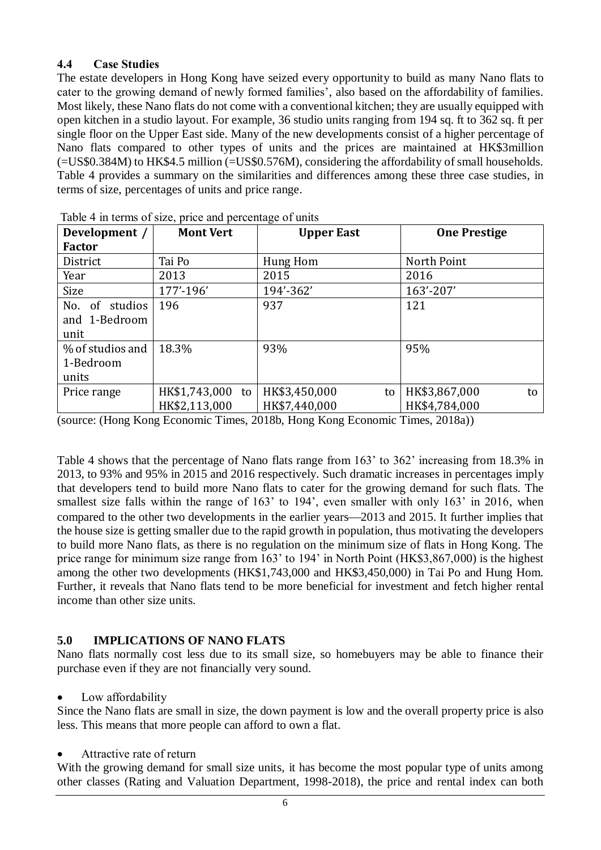### **4.4 Case Studies**

The estate developers in Hong Kong have seized every opportunity to build as many Nano flats to cater to the growing demand of newly formed families', also based on the affordability of families. Most likely, these Nano flats do not come with a conventional kitchen; they are usually equipped with open kitchen in a studio layout. For example, 36 studio units ranging from 194 sq. ft to 362 sq. ft per single floor on the Upper East side. Many of the new developments consist of a higher percentage of Nano flats compared to other types of units and the prices are maintained at HK\$3million (=US\$0.384M) to HK\$4.5 million (=US\$0.576M), considering the affordability of small households. [Table 4](#page-5-0) provides a summary on the similarities and differences among these three case studies, in terms of size, percentages of units and price range.

| Development /                              | <b>Mont Vert</b>                  | <b>Upper East</b>                    | <b>One Prestige</b>                  |
|--------------------------------------------|-----------------------------------|--------------------------------------|--------------------------------------|
| <b>Factor</b>                              |                                   |                                      |                                      |
| District                                   | Tai Po                            | Hung Hom                             | North Point                          |
| Year                                       | 2013                              | 2015                                 | 2016                                 |
| Size                                       | 177'-196'                         | 194'-362'                            | 163'-207'                            |
| No.<br>of studios<br>and 1-Bedroom<br>unit | 196                               | 937                                  | 121                                  |
| % of studios and<br>1-Bedroom<br>units     | 18.3%                             | 93%                                  | 95%                                  |
| Price range                                | HK\$1,743,000 to<br>HK\$2,113,000 | HK\$3,450,000<br>to<br>HK\$7,440,000 | HK\$3,867,000<br>to<br>HK\$4,784,000 |

<span id="page-5-0"></span>Table 4 in terms of size, price and percentage of units

(source: (Hong Kong Economic Times, 2018b, Hong Kong Economic Times, 2018a))

[Table 4](#page-5-0) shows that the percentage of Nano flats range from 163' to 362' increasing from 18.3% in 2013, to 93% and 95% in 2015 and 2016 respectively. Such dramatic increases in percentages imply that developers tend to build more Nano flats to cater for the growing demand for such flats. The smallest size falls within the range of 163' to 194', even smaller with only 163' in 2016, when compared to the other two developments in the earlier years—2013 and 2015. It further implies that the house size is getting smaller due to the rapid growth in population, thus motivating the developers to build more Nano flats, as there is no regulation on the minimum size of flats in Hong Kong. The price range for minimum size range from 163' to 194' in North Point (HK\$3,867,000) is the highest among the other two developments (HK\$1,743,000 and HK\$3,450,000) in Tai Po and Hung Hom. Further, it reveals that Nano flats tend to be more beneficial for investment and fetch higher rental income than other size units.

#### **5.0 IMPLICATIONS OF NANO FLATS**

Nano flats normally cost less due to its small size, so homebuyers may be able to finance their purchase even if they are not financially very sound.

Low affordability

Since the Nano flats are small in size, the down payment is low and the overall property price is also less. This means that more people can afford to own a flat.

Attractive rate of return

With the growing demand for small size units, it has become the most popular type of units among other classes (Rating and Valuation Department, 1998-2018), the price and rental index can both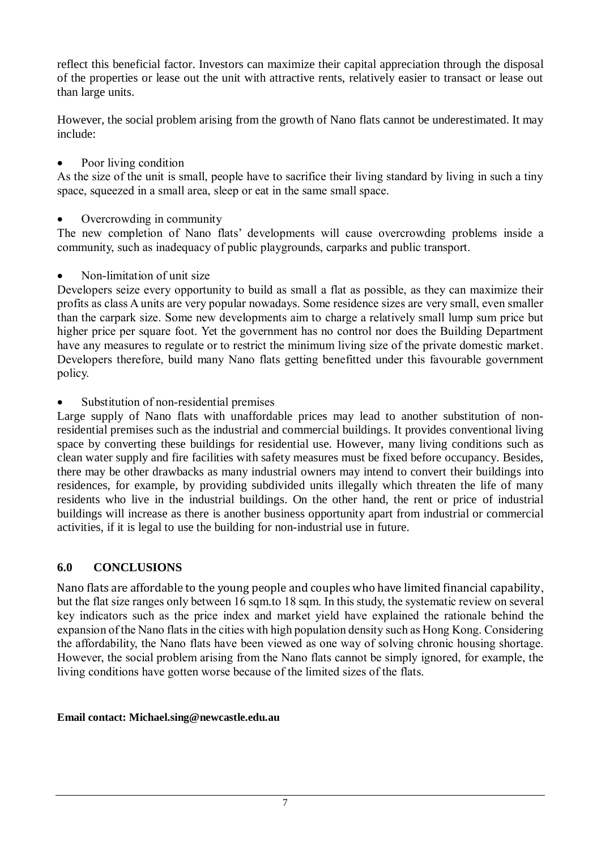reflect this beneficial factor. Investors can maximize their capital appreciation through the disposal of the properties or lease out the unit with attractive rents, relatively easier to transact or lease out than large units.

However, the social problem arising from the growth of Nano flats cannot be underestimated. It may include:

Poor living condition

As the size of the unit is small, people have to sacrifice their living standard by living in such a tiny space, squeezed in a small area, sleep or eat in the same small space.

Overcrowding in community

The new completion of Nano flats' developments will cause overcrowding problems inside a community, such as inadequacy of public playgrounds, carparks and public transport.

Non-limitation of unit size

Developers seize every opportunity to build as small a flat as possible, as they can maximize their profits as class A units are very popular nowadays. Some residence sizes are very small, even smaller than the carpark size. Some new developments aim to charge a relatively small lump sum price but higher price per square foot. Yet the government has no control nor does the Building Department have any measures to regulate or to restrict the minimum living size of the private domestic market. Developers therefore, build many Nano flats getting benefitted under this favourable government policy.

Substitution of non-residential premises

Large supply of Nano flats with unaffordable prices may lead to another substitution of nonresidential premises such as the industrial and commercial buildings. It provides conventional living space by converting these buildings for residential use. However, many living conditions such as clean water supply and fire facilities with safety measures must be fixed before occupancy. Besides, there may be other drawbacks as many industrial owners may intend to convert their buildings into residences, for example, by providing subdivided units illegally which threaten the life of many residents who live in the industrial buildings. On the other hand, the rent or price of industrial buildings will increase as there is another business opportunity apart from industrial or commercial activities, if it is legal to use the building for non-industrial use in future.

# **6.0 CONCLUSIONS**

Nano flats are affordable to the young people and couples who have limited financial capability, but the flat size ranges only between 16 sqm.to 18 sqm. In this study, the systematic review on several key indicators such as the price index and market yield have explained the rationale behind the expansion of the Nano flats in the cities with high population density such as Hong Kong. Considering the affordability, the Nano flats have been viewed as one way of solving chronic housing shortage. However, the social problem arising from the Nano flats cannot be simply ignored, for example, the living conditions have gotten worse because of the limited sizes of the flats.

### **Email contact: Michael.sing@newcastle.edu.au**